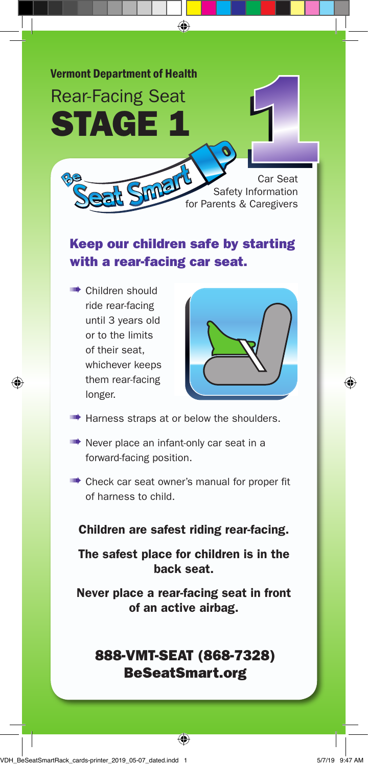

## Keep our children safe by starting with a rear-facing car seat.

➠ Children should ride rear-facing until 3 years old or to the limits of their seat, whichever keeps them rear-facing longer.



- **ILLET** Harness straps at or below the shoulders.
- **IIIII•** Never place an infant-only car seat in a forward-facing position.
- **IIIIII•** Check car seat owner's manual for proper fit of harness to child.

Children are safest riding rear-facing.

The safest place for children is in the back seat.

Never place a rear-facing seat in front of an active airbag.

## 888-VMT-SEAT (868-7328) BeSeatSmart.org